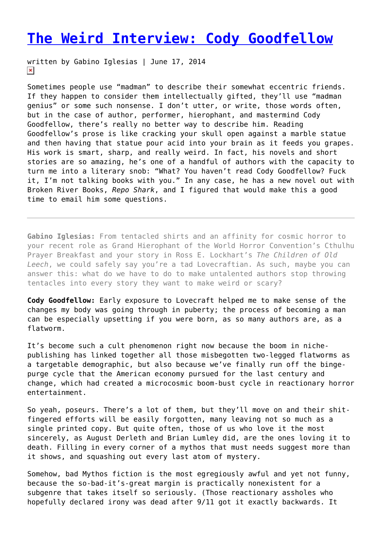## **[The Weird Interview: Cody Goodfellow](https://entropymag.org/the-weird-interview-cody-goodfellow/)**

written by Gabino Iglesias | June 17, 2014  $\pmb{\times}$ 

Sometimes people use "madman" to describe their somewhat eccentric friends. If they happen to consider them intellectually gifted, they'll use "madman genius" or some such nonsense. I don't utter, or write, those words often, but in the case of author, performer, hierophant, and mastermind Cody Goodfellow, there's really no better way to describe him. Reading Goodfellow's prose is like cracking your skull open against a marble statue and then having that statue pour acid into your brain as it feeds you grapes. His work is smart, sharp, and really weird. In fact, his novels and short stories are so amazing, he's one of a handful of authors with the capacity to turn me into a literary snob: "What? You haven't read Cody Goodfellow? Fuck it, I'm not talking books with you." In any case, he has a new novel out with Broken River Books, *Repo Shark*, and I figured that would make this a good time to email him some questions.

**Gabino Iglesias:** From tentacled shirts and an affinity for cosmic horror to your recent role as Grand Hierophant of the World Horror Convention's Cthulhu Prayer Breakfast and your story in Ross E. Lockhart's *The Children of Old Leech*, we could safely say you're a tad Lovecraftian. As such, maybe you can answer this: what do we have to do to make untalented authors stop throwing tentacles into every story they want to make weird or scary?

**Cody Goodfellow:** Early exposure to Lovecraft helped me to make sense of the changes my body was going through in puberty; the process of becoming a man can be especially upsetting if you were born, as so many authors are, as a flatworm.

It's become such a cult phenomenon right now because the boom in nichepublishing has linked together all those misbegotten two-legged flatworms as a targetable demographic, but also because we've finally run off the bingepurge cycle that the American economy pursued for the last century and change, which had created a microcosmic boom-bust cycle in reactionary horror entertainment.

So yeah, poseurs. There's a lot of them, but they'll move on and their shitfingered efforts will be easily forgotten, many leaving not so much as a single printed copy. But quite often, those of us who love it the most sincerely, as August Derleth and Brian Lumley did, are the ones loving it to death. Filling in every corner of a mythos that must needs suggest more than it shows, and squashing out every last atom of mystery.

Somehow, bad Mythos fiction is the most egregiously awful and yet not funny, because the so-bad-it's-great margin is practically nonexistent for a subgenre that takes itself so seriously. (Those reactionary assholes who hopefully declared irony was dead after 9/11 got it exactly backwards. It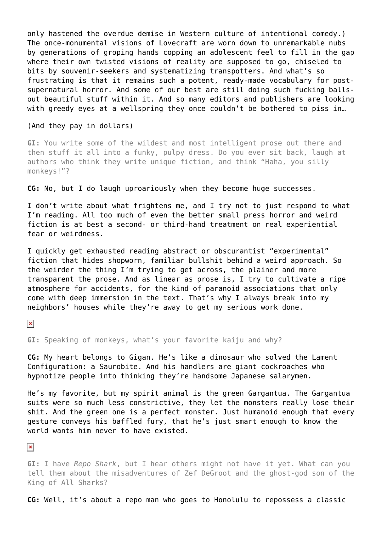only hastened the overdue demise in Western culture of intentional comedy.) The once-monumental visions of Lovecraft are worn down to unremarkable nubs by generations of groping hands copping an adolescent feel to fill in the gap where their own twisted visions of reality are supposed to go, chiseled to bits by souvenir-seekers and systematizing transpotters. And what's so frustrating is that it remains such a potent, ready-made vocabulary for postsupernatural horror. And some of our best are still doing such fucking ballsout beautiful stuff within it. And so many editors and publishers are looking with greedy eyes at a wellspring they once couldn't be bothered to piss in...

## (And they pay in dollars)

**GI:** You write some of the wildest and most intelligent prose out there and then stuff it all into a funky, pulpy dress. Do you ever sit back, laugh at authors who think they write unique fiction, and think "Haha, you silly monkeys!"?

## **CG:** No, but I do laugh uproariously when they become huge successes.

I don't write about what frightens me, and I try not to just respond to what I'm reading. All too much of even the better small press horror and weird fiction is at best a second- or third-hand treatment on real experiential fear or weirdness.

I quickly get exhausted reading abstract or obscurantist "experimental" fiction that hides shopworn, familiar bullshit behind a weird approach. So the weirder the thing I'm trying to get across, the plainer and more transparent the prose. And as linear as prose is, I try to cultivate a ripe atmosphere for accidents, for the kind of paranoid associations that only come with deep immersion in the text. That's why I always break into my neighbors' houses while they're away to get my serious work done.

 $\pmb{\times}$ 

**GI:** Speaking of monkeys, what's your favorite kaiju and why?

**CG:** My heart belongs to Gigan. He's like a dinosaur who solved the Lament Configuration: a Saurobite. And his handlers are giant cockroaches who hypnotize people into thinking they're handsome Japanese salarymen.

He's my favorite, but my spirit animal is the green Gargantua. The Gargantua suits were so much less constrictive, they let the monsters really lose their shit. And the green one is a perfect monster. Just humanoid enough that every gesture conveys his baffled fury, that he's just smart enough to know the world wants him never to have existed.

## $\pmb{\times}$

**GI:** I have *Repo Shark*, but I hear others might not have it yet. What can you tell them about the misadventures of Zef DeGroot and the ghost-god son of the King of All Sharks?

**CG:** Well, it's about a repo man who goes to Honolulu to repossess a classic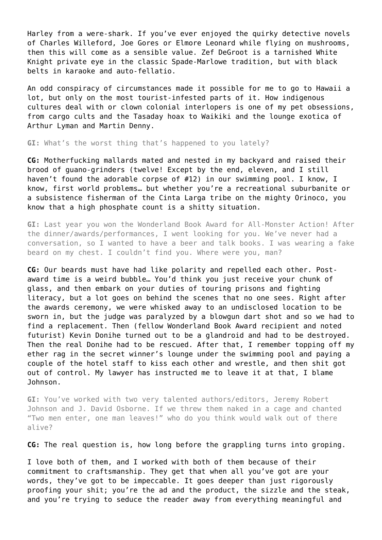Harley from a were-shark. If you've ever enjoyed the quirky detective novels of Charles Willeford, Joe Gores or Elmore Leonard while flying on mushrooms, then this will come as a sensible value. Zef DeGroot is a tarnished White Knight private eye in the classic Spade-Marlowe tradition, but with black belts in karaoke and auto-fellatio.

An odd conspiracy of circumstances made it possible for me to go to Hawaii a lot, but only on the most tourist-infested parts of it. How indigenous cultures deal with or clown colonial interlopers is one of my pet obsessions, from cargo cults and the Tasaday hoax to Waikiki and the lounge exotica of Arthur Lyman and Martin Denny.

**GI:** What's the worst thing that's happened to you lately?

**CG:** Motherfucking mallards mated and nested in my backyard and raised their brood of guano-grinders (twelve! Except by the end, eleven, and I still haven't found the adorable corpse of #12) in our swimming pool. I know, I know, first world problems… but whether you're a recreational suburbanite or a subsistence fisherman of the Cinta Larga tribe on the mighty Orinoco, you know that a high phosphate count is a shitty situation.

**GI:** Last year you won the Wonderland Book Award for All-Monster Action! After the dinner/awards/performances, I went looking for you. We've never had a conversation, so I wanted to have a beer and talk books. I was wearing a fake beard on my chest. I couldn't find you. Where were you, man?

**CG:** Our beards must have had like polarity and repelled each other. Postaward time is a weird bubble… You'd think you just receive your chunk of glass, and then embark on your duties of touring prisons and fighting literacy, but a lot goes on behind the scenes that no one sees. Right after the awards ceremony, we were whisked away to an undisclosed location to be sworn in, but the judge was paralyzed by a blowgun dart shot and so we had to find a replacement. Then (fellow Wonderland Book Award recipient and noted futurist) Kevin Donihe turned out to be a glandroid and had to be destroyed. Then the real Donihe had to be rescued. After that, I remember topping off my ether rag in the secret winner's lounge under the swimming pool and paying a couple of the hotel staff to kiss each other and wrestle, and then shit got out of control. My lawyer has instructed me to leave it at that, I blame Johnson.

**GI:** You've worked with two very talented authors/editors, Jeremy Robert Johnson and J. David Osborne. If we threw them naked in a cage and chanted "Two men enter, one man leaves!" who do you think would walk out of there alive?

**CG:** The real question is, how long before the grappling turns into groping.

I love both of them, and I worked with both of them because of their commitment to craftsmanship. They get that when all you've got are your words, they've got to be impeccable. It goes deeper than just rigorously proofing your shit; you're the ad and the product, the sizzle and the steak, and you're trying to seduce the reader away from everything meaningful and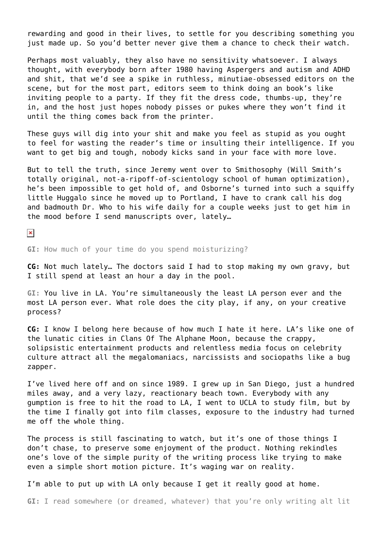rewarding and good in their lives, to settle for you describing something you just made up. So you'd better never give them a chance to check their watch.

Perhaps most valuably, they also have no sensitivity whatsoever. I always thought, with everybody born after 1980 having Aspergers and autism and ADHD and shit, that we'd see a spike in ruthless, minutiae-obsessed editors on the scene, but for the most part, editors seem to think doing an book's like inviting people to a party. If they fit the dress code, thumbs-up, they're in, and the host just hopes nobody pisses or pukes where they won't find it until the thing comes back from the printer.

These guys will dig into your shit and make you feel as stupid as you ought to feel for wasting the reader's time or insulting their intelligence. If you want to get big and tough, nobody kicks sand in your face with more love.

But to tell the truth, since Jeremy went over to Smithosophy (Will Smith's totally original, not-a-ripoff-of-scientology school of human optimization), he's been impossible to get hold of, and Osborne's turned into such a squiffy little Huggalo since he moved up to Portland, I have to crank call his dog and badmouth Dr. Who to his wife daily for a couple weeks just to get him in the mood before I send manuscripts over, lately…

 $\pmb{\times}$ 

**GI:** How much of your time do you spend moisturizing?

**CG:** Not much lately… The doctors said I had to stop making my own gravy, but I still spend at least an hour a day in the pool.

**GI:** You live in LA. You're simultaneously the least LA person ever and the most LA person ever. What role does the city play, if any, on your creative process?

**CG:** I know I belong here because of how much I hate it here. LA's like one of the lunatic cities in Clans Of The Alphane Moon, because the crappy, solipsistic entertainment products and relentless media focus on celebrity culture attract all the megalomaniacs, narcissists and sociopaths like a bug zapper.

I've lived here off and on since 1989. I grew up in San Diego, just a hundred miles away, and a very lazy, reactionary beach town. Everybody with any gumption is free to hit the road to LA, I went to UCLA to study film, but by the time I finally got into film classes, exposure to the industry had turned me off the whole thing.

The process is still fascinating to watch, but it's one of those things I don't chase, to preserve some enjoyment of the product. Nothing rekindles one's love of the simple purity of the writing process like trying to make even a simple short motion picture. It's waging war on reality.

I'm able to put up with LA only because I get it really good at home.

**GI:** I read somewhere (or dreamed, whatever) that you're only writing alt lit